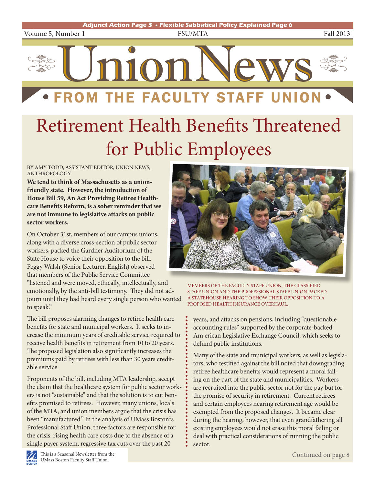

# Retirement Health Benefits Threatened for Public Employees

#### BY AMY TODD, ASSISTANT EDITOR, UNION NEWS, **ANTHROPOLOGY**

**We tend to think of Massachusetts as a unionfriendly state. However, the introduction of House Bill 59, An Act Providing Retiree Healthcare Benefits Reform, is a sober reminder that we are not immune to legislative attacks on public sector workers.** 

On October 31st, members of our campus unions, along with a diverse cross-section of public sector workers, packed the Gardner Auditorium of the State House to voice their opposition to the bill. Peggy Walsh (Senior Lecturer, English) observed that members of the Public Service Committee "listened and were moved, ethically, intellectually, and emotionally, by the anti-bill testimony. They did not adjourn until they had heard every single person who wanted to speak."

The bill proposes alarming changes to retiree health care benefits for state and municipal workers. It seeks to increase the minimum years of creditable service required to receive health benefits in retirement from 10 to 20 years. The proposed legislation also significantly increases the premiums paid by retirees with less than 30 years creditable service.

Proponents of the bill, including MTA leadership, accept the claim that the healthcare system for public sector workers is not "sustainable" and that the solution is to cut benefits promised to retirees. However, many unions, locals of the MTA, and union members argue that the crisis has been "manufactured." In the analysis of UMass Boston's Professional Staff Union, three factors are responsible for the crisis: rising health care costs due to the absence of a single payer system, regressive tax cuts over the past 20



MEMBERS OF THE FACULTY STAFF UNION, THE CLASSIFIED STAFF UNION AND THE PROFESSIONAL STAFF UNION PACKED A STATEHOUSE HEARING TO SHOW THEIR OPPOSITION TO A PROPOSED HEALTH INSURANCE OVERHAUL.

years, and attacks on pensions, including "questionable accounting rules" supported by the corporate-backed Am erican Legislative Exchange Council, which seeks to defund public institutions.

Many of the state and municipal workers, as well as legislators, who testified against the bill noted that downgrading retiree healthcare benefits would represent a moral failing on the part of the state and municipalities. Workers are recruited into the public sector not for the pay but for the promise of security in retirement. Current retirees and certain employees nearing retirement age would be exempted from the proposed changes. It became clear during the hearing, however, that even grandfathering all existing employees would not erase this moral failing or deal with practical considerations of running the public sector.

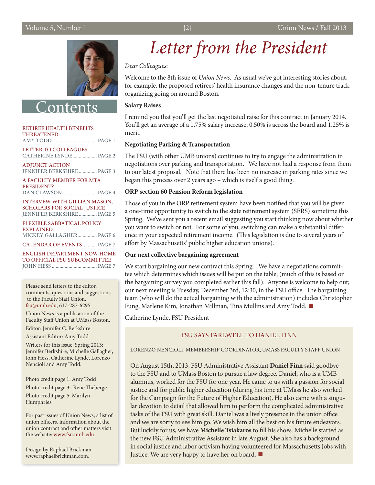

**Onten** 

#### RETIREE HEALTH BENEFITS THREATENED AMY TODD................................... PAGE 1 LETTER TO COLLEAGUES CATHERINE LYNDE................... PAGE 2 ADJUNCT ACTION JENNIFER BERKSHIRE.............. PAGE 3

A FACULTY MEMBER FOR MTA PRESIDENT? DAN CLAWSON........................... PAGE 4

INTERVEW WITH GILLIAN MASON, SCHOLARS FOR SOCIAL JUSTICE JENNIFER BERKSHIRE.............. PAGE 5

FLEXIBLE SABBATICAL POLICY EXPLAINED MICKEY GALLAGHER............... PAGE 6 CALENDAR OF EVENTS ........... PAGE 7

ENGLISH DEPARTMENT NOW HOME TO OFFICIAL FSU SUBCOMMITTEE JOHN HESS ................................... PAGE 7

Please send letters to the editor, comments, questions and suggestions to the Faculty Staff Union. fsu@umb.edu, 617-287-6295

Union News is a publication of the Faculty Staff Union at UMass Boston.

Editor: Jennifer C. Berkshire

Assistant Editor: Amy Todd

Writers for this issue, Spring 2013: Jennifer Berkshire, Michelle Gallagher, John Hess, Catherine Lynde, Lorenzo Nencioli and Amy Todd.

Photo credit page 1: Amy Todd Photo credit page 3: Rene Theberge Photo credit page 5: Marilyn Humphries

For past issues of Union News, a list of union officers, information about the union contract and other matters visit the website: www.fsu.umb.edu

Design by Raphael Brickman www.raphaelbrickman.com.

## *Letter from the President*

*Dear Colleagues*:

Welcome to the 8th issue of *Union News*. As usual we've got interesting stories about, for example, the proposed retirees' health insurance changes and the non-tenure track organizing going on around Boston.

#### **Salary Raises**

I remind you that you'll get the last negotiated raise for this contract in January 2014. You'll get an average of a 1.75% salary increase; 0.50% is across the board and 1.25% is merit.

#### **Negotiating Parking & Transportation**

The FSU (with other UMB unions) continues to try to engage the administration in negotiations over parking and transportation. We have not had a response from them to our latest proposal. Note that there has been no increase in parking rates since we began this process over 2 years ago – which is itself a good thing.

#### **ORP section 60 Pension Reform legislation**

Those of you in the ORP retirement system have been notified that you will be given a one-time opportunity to switch to the state retirement system (SERS) sometime this Spring. We've sent you a recent email suggesting you start thinking now about whether you want to switch or not. For some of you, switching can make a substantial difference in your expected retirement income. (This legislation is due to several years of effort by Massachusetts' public higher education unions).

#### **Our next collective bargaining agreement**

We start bargaining our new contract this Spring. We have a negotiations committee which determines which issues will be put on the table; (much of this is based on the bargaining survey you completed earlier this fall). Anyone is welcome to help out; our next meeting is Tuesday, December 3rd, 12:30, in the FSU office. The bargaining team (who will do the actual bargaining with the administration) includes Christopher Fung, Marlene Kim, Jonathan Millman, Tina Mullins and Amy Todd. ■

Catherine Lynde, FSU President

#### FSU SAYS FAREWELL TO DANIEL FINN

LORENZO NENCIOLI, MEMBERSHIP COORDINATOR, UMASS FACULTY STAFF UNION

On August 15th, 2013, FSU Administrative Assistant **Daniel Finn** said goodbye to the FSU and to UMass Boston to pursue a law degree. Daniel, who is a UMB alumnus, worked for the FSU for one year. He came to us with a passion for social justice and for public higher education (during his time at UMass he also worked for the Campaign for the Future of Higher Education). He also came with a singular devotion to detail that allowed him to perform the complicated administrative tasks of the FSU with great skill. Daniel was a lively presence in the union office and we are sorry to see him go. We wish him all the best on his future endeavors. But luckily for us, we have **Michelle Tsiakaros** to fill his shoes. Michelle started as the new FSU Administrative Assistant in late August. She also has a background in social justice and labor activism having volunteered for Massachusetts Jobs with Justice. We are very happy to have her on board. ■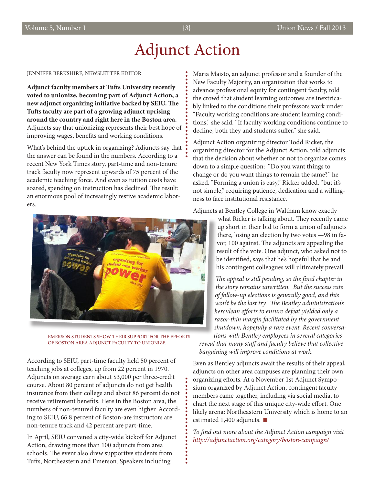### Adjunct Action

 $\bullet$ 

JENNIFER BERKSHIRE, NEWSLETTER EDITOR

**Adjunct faculty members at Tufts University recently voted to unionize, becoming part of Adjunct Action, a new adjunct organizing initiative backed by SEIU. The Tufts faculty are part of a growing adjunct uprising around the country and right here in the Boston area.**  Adjuncts say that unionizing represents their best hope of improving wages, benefits and working conditions.

What's behind the uptick in organizing? Adjuncts say that the answer can be found in the numbers. According to a recent New York Times story, part-time and non-tenure track faculty now represent upwards of 75 percent of the academic teaching force. And even as tuition costs have soared, spending on instruction has declined. The result: an enormous pool of increasingly restive academic laborers.



EMERSON STUDENTS SHOW THEIR SUPPORT FOR THE EFFORTS OF BOSTON AREA ADJUNCT FACULTY TO UNIONIZE.

According to SEIU, part-time faculty held 50 percent of teaching jobs at colleges, up from 22 percent in 1970. Adjuncts on average earn about \$3,000 per three-credit course. About 80 percent of adjuncts do not get health insurance from their college and about 86 percent do not receive retirement benefits. Here in the Boston area, the numbers of non-tenured faculty are even higher. According to SEIU, 66.8 percent of Boston-are instructors are non-tenure track and 42 percent are part-time.

In April, SEIU convened a city-wide kickoff for Adjunct Action, drawing more than 100 adjuncts from area schools. The event also drew supportive students from Tufts, Northeastern and Emerson. Speakers including

Maria Maisto, an adjunct professor and a founder of the New Faculty Majority, an organization that works to advance professional equity for contingent faculty, told the crowd that student learning outcomes are inextricably linked to the conditions their professors work under. "Faculty working conditions are student learning conditions," she said. "If faculty working conditions continue to decline, both they and students suffer," she said.

Adjunct Action organizing director Todd Ricker, the organizing director for the Adjunct Action, told adjuncts that the decision about whether or not to organize comes down to a simple question: "Do you want things to change or do you want things to remain the same?" he asked. "Forming a union is easy," Ricker added, "but it's not simple," requiring patience, dedication and a willingness to face institutional resistance.

Adjuncts at Bentley College in Waltham know exactly

what Ricker is talking about. They recently came up short in their bid to form a union of adjuncts there, losing an election by two votes —98 in favor, 100 against. The adjuncts are appealing the result of the vote. One adjunct, who asked not to be identified, says that he's hopeful that he and his contingent colleagues will ultimately prevail.

*The appeal is still pending, so the final chapter in the story remains unwritten. But the success rate of follow-up elections is generally good, and this won't be the last try. The Bentley administration's herculean efforts to ensure defeat yielded only a razor-thin margin facilitated by the government shutdown, hopefully a rare event. Recent conversations with Bentley employees in several categories* 

*reveal that many staff and faculty believe that collective bargaining will improve conditions at work.* 

Even as Bentley adjuncts await the results of their appeal, adjuncts on other area campuses are planning their own organizing efforts. At a November 1st Adjunct Symposium organized by Adjunct Action, contingent faculty members came together, including via social media, to chart the next stage of this unique city-wide effort. One likely arena: Northeastern University which is home to an estimated 1,400 adjuncts.  $\blacksquare$ 

*To find out more about the Adjunct Action campaign visit http://adjunctaction.org/category/boston-campaign/*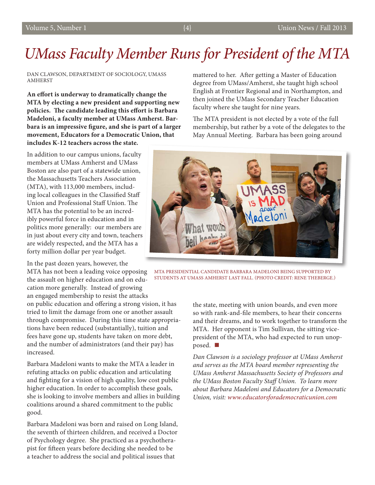## *UMass Faculty Member Runs for President of the MTA*

#### DAN CLAWSON, DEPARTMENT OF SOCIOLOGY, UMASS AMHERST

**An effort is underway to dramatically change the MTA by electing a new president and supporting new policies. The candidate leading this effort is Barbara Madeloni, a faculty member at UMass Amherst. Barbara is an impressive figure, and she is part of a larger movement, Educators for a Democratic Union, that includes K-12 teachers across the state.** 

In addition to our campus unions, faculty members at UMass Amherst and UMass Boston are also part of a statewide union, the Massachusetts Teachers Association (MTA), with 113,000 members, including local colleagues in the Classified Staff Union and Professional Staff Union. The MTA has the potential to be an incredibly powerful force in education and in politics more generally: our members are in just about every city and town, teachers are widely respected, and the MTA has a forty million dollar per year budget.

In the past dozen years, however, the

MTA has not been a leading voice opposing the assault on higher education and on education more generally. Instead of growing an engaged membership to resist the attacks on public education and offering a strong vision, it has tried to limit the damage from one or another assault through compromise. During this time state appropriations have been reduced (substantially), tuition and fees have gone up, students have taken on more debt, and the number of administrators (and their pay) has increased.

Barbara Madeloni wants to make the MTA a leader in refuting attacks on public education and articulating and fighting for a vision of high quality, low cost public higher education. In order to accomplish these goals, she is looking to involve members and allies in building coalitions around a shared commitment to the public good.

Barbara Madeloni was born and raised on Long Island, the seventh of thirteen children, and received a Doctor of Psychology degree. She practiced as a psychotherapist for fifteen years before deciding she needed to be a teacher to address the social and political issues that

mattered to her. After getting a Master of Education degree from UMass/Amherst, she taught high school English at Frontier Regional and in Northampton, and then joined the UMass Secondary Teacher Education faculty where she taught for nine years.

The MTA president is not elected by a vote of the full membership, but rather by a vote of the delegates to the May Annual Meeting. Barbara has been going around



MTA PRESIDENTIAL CANDIDATE BARBARA MADELONI BEING SUPPORTED BY STUDENTS AT UMASS AMHERST LAST FALL. (PHOTO CREDIT: RENE THEBERGE.)

the state, meeting with union boards, and even more so with rank-and-file members, to hear their concerns and their dreams, and to work together to transform the MTA. Her opponent is Tim Sullivan, the sitting vicepresident of the MTA, who had expected to run unopposed.

*Dan Clawson is a sociology professor at UMass Amherst and serves as the MTA board member representing the UMass Amherst Massachusetts Society of Professors and the UMass Boston Faculty Staff Union. To learn more about Barbara Madeloni and Educators for a Democratic Union, visit: www.educatorsforademocraticunion.com*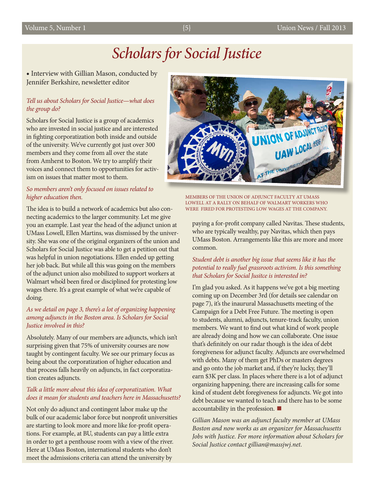### *Scholars for Social Justice*

**•** Interview with Gillian Mason, conducted by Jennifer Berkshire, newsletter editor

#### *Tell us about Scholars for Social Justice—what does the group do?*

Scholars for Social Justice is a group of academics who are invested in social justice and are interested in fighting corporatization both inside and outside of the university. We've currently got just over 300 members and they come from all over the state from Amherst to Boston. We try to amplify their voices and connect them to opportunities for activism on issues that matter most to them.

#### *So members aren't only focused on issues related to higher education then.*

The idea is to build a network of academics but also connecting academics to the larger community. Let me give you an example. Last year the head of the adjunct union at UMass Lowell, Ellen Martins, was dismissed by the university. She was one of the original organizers of the union and Scholars for Social Justice was able to get a petition out that was helpful in union negotiations. Ellen ended up getting her job back. But while all this was going on the members of the adjunct union also mobilized to support workers at Walmart who'd been fired or disciplined for protesting low wages there. It's a great example of what we're capable of doing.

#### *As we detail on page 3, there's a lot of organizing happening among adjuncts in the Boston area. Is Scholars for Social Justice involved in this?*

Absolutely. Many of our members are adjuncts, which isn't surprising given that 75% of university courses are now taught by contingent faculty. We see our primary focus as being about the corporatization of higher education and that process falls heavily on adjuncts, in fact corporatization creates adjuncts.

#### *Talk a little more about this idea of corporatization. What does it mean for students and teachers here in Massachusetts?*

Not only do adjunct and contingent labor make up the bulk of our academic labor force but nonprofit universities are starting to look more and more like for-profit operations. For example, at BU, students can pay a little extra in order to get a penthouse room with a view of the river. Here at UMass Boston, international students who don't meet the admissions criteria can attend the university by



MEMBERS OF THE UNION OF ADJUNCT FACULTY AT UMASS LOWELL AT A RALLY ON BEHALF OF WALMART WORKERS WHO WERE FIRED FOR PROTESTING LOW WAGES AT THE COMPANY.

paying a for-profit company called Navitas. These students, who are typically wealthy, pay Navitas, which then pays UMass Boston. Arrangements like this are more and more common.

#### *Student debt is another big issue that seems like it has the potential to really fuel grassroots activism. Is this something that Scholars for Social Jusitce is interested in?*

I'm glad you asked. As it happens we've got a big meeting coming up on December 3rd (for details see calendar on page 7), it's the inaurural Massachusetts meeting of the Campaign for a Debt Free Future. The meeting is open to students, alumni, adjuncts, tenure-track faculty, union members. We want to find out what kind of work people are already doing and how we can collaborate. One issue that's definitely on our radar though is the idea of debt foregiveness for adjunct faculty. Adjuncts are overwhelmed with debts. Many of them get PhDs or masters degrees and go onto the job market and, if they're lucky, they'll earn \$3K per class. In places where there is a lot of adjunct organizing happening, there are increasing calls for some kind of student debt foregiveness for adjuncts. We got into debt because we wanted to teach and there has to be some accountability in the profession.

*Gillian Mason was an adjunct faculty member at UMass Boston and now works as an organizer for Massachusetts Jobs with Justice. For more information about Scholars for Social Justice contact gillian@massjwj.net.*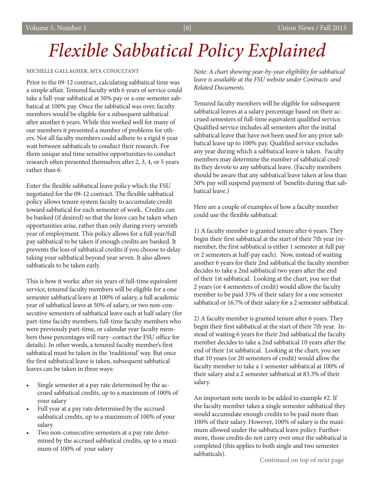# *Flexible Sabbatical Policy Explained*

#### MICHELLE GALLAGHER, MTA CONSULTANT

Prior to the 09-12 contract, calculating sabbatical time was a simple affair. Tenured faculty with 6 years of service could take a full-year sabbatical at 50% pay or a one semester sabbatical at 100% pay. Once the sabbatical was over, faculty members would be eligible for a subsequent sabbatical after another 6 years. While this worked well for many of our members it presented a number of problems for others. Not all faculty members could adhere to a rigid 6 year wait between sabbaticals to conduct their research. For them unique and time sensitive opportunities to conduct research often presented themselves after 2, 3, 4, or 5 years rather than 6.

Enter the flexible sabbatical leave policy which the FSU negotiated for the 09-12 contract. The flexible sabbatical policy allows tenure system faculty to accumulate credit toward sabbatical for each semester of work. Credits can be banked (if desired) so that the leave can be taken when opportunities arise, rather than only during every seventh year of employment. This policy allows for a full year/full pay sabbatical to be taken if enough credits are banked. It prevents the loss of sabbatical credits if you choose to delay taking your sabbatical beyond year seven. It also allows sabbaticals to be taken early.

This is how it works: after six years of full-time equivalent service, tenured faculty members will be eligible for a one semester sabbatical leave at 100% of salary, a full academic year of sabbatical leave at 50% of salary, or two non‐consecutive semesters of sabbatical leave each at half salary (for part-time faculty members, full-time faculty members who were previously part-time, or calendar year faculty members these percentages will vary- contact the FSU office for details). In other words, a tenured faculty member's first sabbatical must be taken in the 'traditional' way. But once the first sabbatical leave is taken, subsequent sabbatical leaves can be taken in three ways:

- Single semester at a pay rate determined by the accrued sabbatical credits, up to a maximum of 100% of your salary
- Full year at a pay rate determined by the accrued sabbatical credits, up to a maximum of 100% of your salary
- Two non-consecutive semesters at a pay rate determined by the accrued sabbatical credits, up to a maximum of 100% of your salary

*Note: A chart showing year‐by‐year eligibility for sabbatical leave is available at the FSU website under Contracts and Related Documents.* 

Tenured faculty members will be eligible for subsequent sabbatical leaves at a salary percentage based on their accrued semesters of full‐time equivalent qualified service. Qualified service includes all semesters after the initial sabbatical leave that have not been used for any prior sabbatical leave up to 100% pay. Qualified service excludes any year during which a sabbatical leave is taken. Faculty members may determine the number of sabbatical credits they devote to any sabbatical leave. (Faculty members should be aware that any sabbatical leave taken at less than 50% pay will suspend payment of benefits during that sabbatical leave.)

Here are a couple of examples of how a faculty member could use the flexible sabbatical:

1) A faculty member is granted tenure after 6 years. They begin their first sabbatical at the start of their 7th year (remember, the first sabbatical is either 1 semester at full pay or 2 semesters at half-pay each). Now, instead of waiting another 6 years for their 2nd sabbatical the faculty member decides to take a 2nd sabbatical two years after the end of their 1st sabbatical. Looking at the chart, you see that 2 years (or 4 semesters of credit) would allow the faculty member to be paid 33% of their salary for a one semester sabbatical or 16.7% of their salary for a 2 semester sabbatical.

2) A faculty member is granted tenure after 6 years. They begin their first sabbatical at the start of their 7th year. Instead of waiting 6 years for their 2nd sabbatical the faculty member decides to take a 2nd sabbatical 10 years after the end of their 1st sabbatical. Looking at the chart, you see that 10 years (or 20 semesters of credit) would allow the faculty member to take a 1 semester sabbatical at 100% of their salary and a 2 semester sabbatical at 83.3% of their salary.

An important note needs to be added to example #2. If the faculty member takes a single semester sabbatical they would accumulate enough credits to be paid more than 100% of their salary. However, 100% of salary is the maximum allowed under the sabbatical leave policy. Furthermore, those credits do not carry over once the sabbatical is completed (this applies to both single and two semester sabbaticals).<br>
Continued on top of next page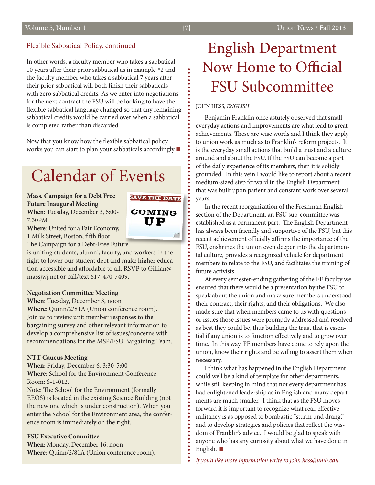#### Flexible Sabbatical Policy, continued

In other words, a faculty member who takes a sabbatical 10 years after their prior sabbatical as in example #2 and the faculty member who takes a sabbatical 7 years after their prior sabbatical will both finish their sabbaticals with zero sabbatical credits. As we enter into negotiations for the next contract the FSU will be looking to have the flexible sabbatical language changed so that any remaining sabbatical credits would be carried over when a sabbatical is completed rather than discarded.

Now that you know how the flexible sabbatical policy works you can start to plan your sabbaticals accordingly.▪

## Calendar of Events

**Mass. Campaign for a Debt Free Future Inaugural Meeting When**: Tuesday, December 3, 6:00- 7:30PM



**Where**: United for a Fair Economy, 1 Milk Street, Boston, fifth floor

The Campaign for a Debt-Free Future

is uniting students, alumni, faculty, and workers in the fight to lower our student debt and make higher education accessible and affordable to all. RSVP to Gillian@ massjwj.net or call/text 617-470-7409.

#### **Negotiation Committee Meeting**

**When**: Tuesday, December 3, noon

**Where**: Quinn/2/81A (Union conference room). Join us to review unit member responses to the bargaining survey and other relevant information to develop a comprehensive list of issues/concerns with recommendations for the MSP/FSU Bargaining Team.

#### **NTT Caucus Meeting**

**When**: Friday, December 6, 3:30-5:00 **Where**: School for the Environment Conference Room: S-1-012.

Note: The School for the Environment (formally EEOS) is located in the existing Science Building (not the new one which is under construction). When you enter the School for the Environment area, the conference room is immediately on the right.

#### **FSU Executive Committee**

**When**: Monday, December 16, noon **Where**: Quinn/2/81A (Union conference room).

### English Department Now Home to Official FSU Subcommittee

JOHN HESS, *ENGLISH*

Benjamin Franklin once astutely observed that small everyday actions and improvements are what lead to great achievements. These are wise words and I think they apply to union work as much as to Franklin's reform projects. It is the everyday small actions that build a trust and a culture around and about the FSU. If the FSU can become a part of the daily experience of its members, then it is solidly grounded. In this vein I would like to report about a recent medium-sized step forward in the English Department that was built upon patient and constant work over several years.

In the recent reorganization of the Freshman English section of the Department, an FSU sub-committee was established as a permanent part. The English Department has always been friendly and supportive of the FSU, but this recent achievement officially affirms the importance of the FSU, enshrines the union even deeper into the departmental culture, provides a recognized vehicle for department members to relate to the FSU, and facilitates the training of future activists.

At every semester-ending gathering of the FE faculty we ensured that there would be a presentation by the FSU to speak about the union and make sure members understood their contract, their rights, and their obligations. We also made sure that when members came to us with questions or issues those issues were promptly addressed and resolved as best they could be, thus building the trust that is essential if any union is to function effectively and to grow over time. In this way, FE members have come to rely upon the union, know their rights and be willing to assert them when necessary.

I think what has happened in the English Department could well be a kind of template for other departments, while still keeping in mind that not every department has had enlightened leadership as in English and many departments are much smaller. I think that as the FSU moves forward it is important to recognize what real, effective militancy is as opposed to bombastic "sturm und drang," and to develop strategies and policies that reflect the wisdom of Franklin's advice. I would be glad to speak with anyone who has any curiosity about what we have done in English.  $\blacksquare$ 

*If you'd like more information write to john.hess@umb.edu*